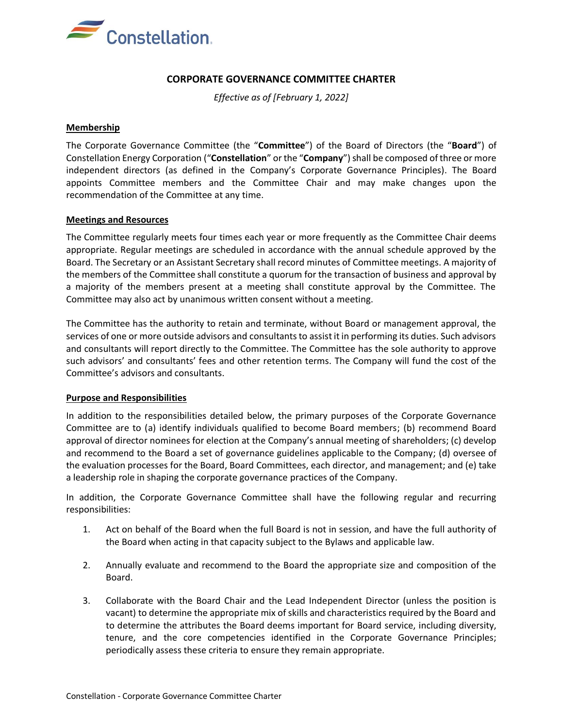

# **CORPORATE GOVERNANCE COMMITTEE CHARTER**

*Effective as of [February 1, 2022]*

### **Membership**

The Corporate Governance Committee (the "**Committee**") of the Board of Directors (the "**Board**") of Constellation Energy Corporation ("Constellation" or the "Company") shall be composed of three or more independent directors (as defined in the Company's Corporate Governance Principles). The Board appoints Committee members and the Committee Chair and may make changes upon the recommendation of the Committee at any time.

## **Meetings and Resources**

The Committee regularly meets four times each year or more frequently as the Committee Chair deems appropriate. Regular meetings are scheduled in accordance with the annual schedule approved by the Board. The Secretary or an Assistant Secretary shall record minutes of Committee meetings. A majority of the members of the Committee shall constitute a quorum for the transaction of business and approval by a majority of the members present at a meeting shall constitute approval by the Committee. The Committee may also act by unanimous written consent without a meeting.

The Committee has the authority to retain and terminate, without Board or management approval, the services of one or more outside advisors and consultants to assist it in performing its duties. Such advisors and consultants will report directly to the Committee. The Committee has the sole authority to approve such advisors' and consultants' fees and other retention terms. The Company will fund the cost of the Committee's advisors and consultants.

#### **Purpose and Responsibilities**

In addition to the responsibilities detailed below, the primary purposes of the Corporate Governance Committee are to (a) identify individuals qualified to become Board members; (b) recommend Board approval of director nominees for election at the Company's annual meeting of shareholders; (c) develop and recommend to the Board a set of governance guidelines applicable to the Company; (d) oversee of the evaluation processes for the Board, Board Committees, each director, and management; and (e) take a leadership role in shaping the corporate governance practices of the Company.

In addition, the Corporate Governance Committee shall have the following regular and recurring responsibilities:

- 1. Act on behalf of the Board when the full Board is not in session, and have the full authority of the Board when acting in that capacity subject to the Bylaws and applicable law.
- 2. Annually evaluate and recommend to the Board the appropriate size and composition of the Board.
- 3. Collaborate with the Board Chair and the Lead Independent Director (unless the position is vacant) to determine the appropriate mix of skills and characteristics required by the Board and to determine the attributes the Board deems important for Board service, including diversity, tenure, and the core competencies identified in the Corporate Governance Principles; periodically assess these criteria to ensure they remain appropriate.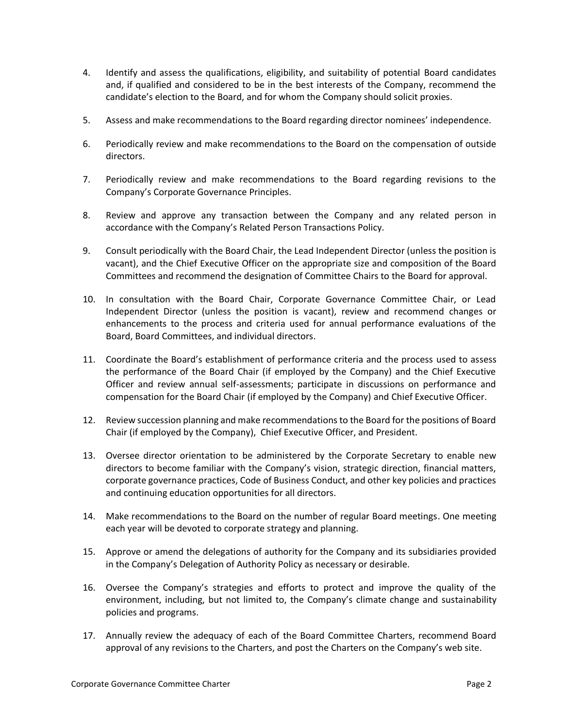- 4. Identify and assess the qualifications, eligibility, and suitability of potential Board candidates and, if qualified and considered to be in the best interests of the Company, recommend the candidate's election to the Board, and for whom the Company should solicit proxies.
- 5. Assess and make recommendations to the Board regarding director nominees' independence.
- 6. Periodically review and make recommendations to the Board on the compensation of outside directors.
- 7. Periodically review and make recommendations to the Board regarding revisions to the Company's Corporate Governance Principles.
- 8. Review and approve any transaction between the Company and any related person in accordance with the Company's Related Person Transactions Policy.
- 9. Consult periodically with the Board Chair, the Lead Independent Director (unless the position is vacant), and the Chief Executive Officer on the appropriate size and composition of the Board Committees and recommend the designation of Committee Chairs to the Board for approval.
- 10. In consultation with the Board Chair, Corporate Governance Committee Chair, or Lead Independent Director (unless the position is vacant), review and recommend changes or enhancements to the process and criteria used for annual performance evaluations of the Board, Board Committees, and individual directors.
- 11. Coordinate the Board's establishment of performance criteria and the process used to assess the performance of the Board Chair (if employed by the Company) and the Chief Executive Officer and review annual self-assessments; participate in discussions on performance and compensation for the Board Chair (if employed by the Company) and Chief Executive Officer.
- 12. Review succession planning and make recommendations to the Board for the positions of Board Chair (if employed by the Company), Chief Executive Officer, and President.
- 13. Oversee director orientation to be administered by the Corporate Secretary to enable new directors to become familiar with the Company's vision, strategic direction, financial matters, corporate governance practices, Code of Business Conduct, and other key policies and practices and continuing education opportunities for all directors.
- 14. Make recommendations to the Board on the number of regular Board meetings. One meeting each year will be devoted to corporate strategy and planning.
- 15. Approve or amend the delegations of authority for the Company and its subsidiaries provided in the Company's Delegation of Authority Policy as necessary or desirable.
- 16. Oversee the Company's strategies and efforts to protect and improve the quality of the environment, including, but not limited to, the Company's climate change and sustainability policies and programs.
- 17. Annually review the adequacy of each of the Board Committee Charters, recommend Board approval of any revisions to the Charters, and post the Charters on the Company's web site.